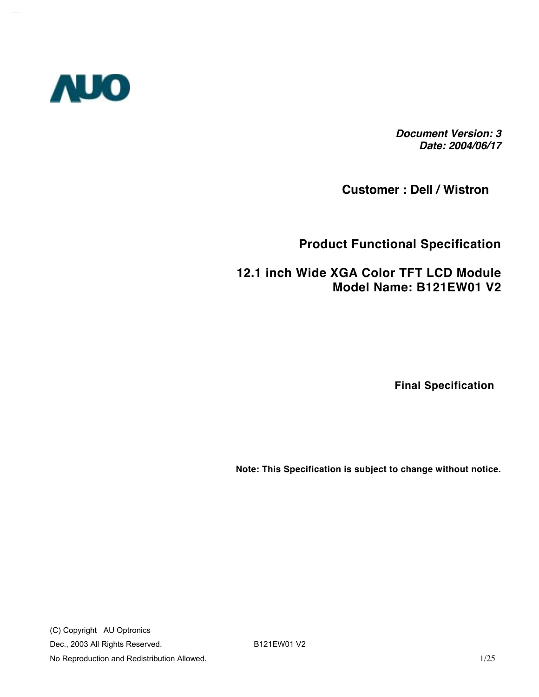

*Document Version: 3 Date: 2004/06/17*

**Customer : Dell / Wistron** 

#### **Product Functional Specification**

#### **12.1 inch Wide XGA Color TFT LCD Module Model Name: B121EW01 V2**

 **Final Specification**

**Note: This Specification is subject to change without notice.**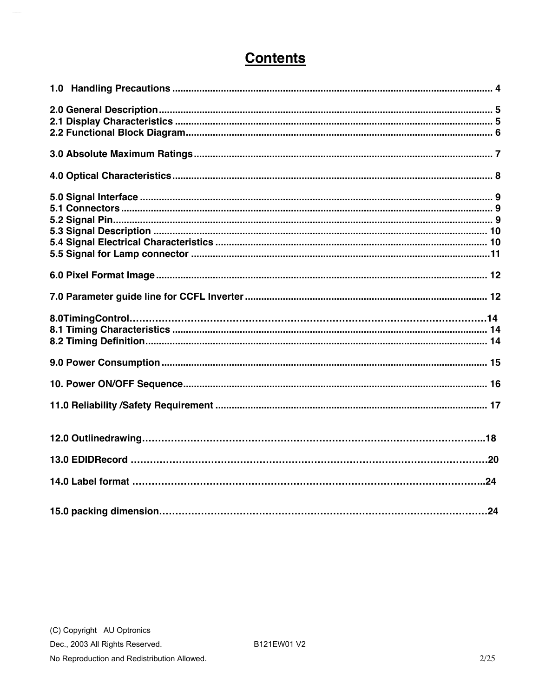## **Contents**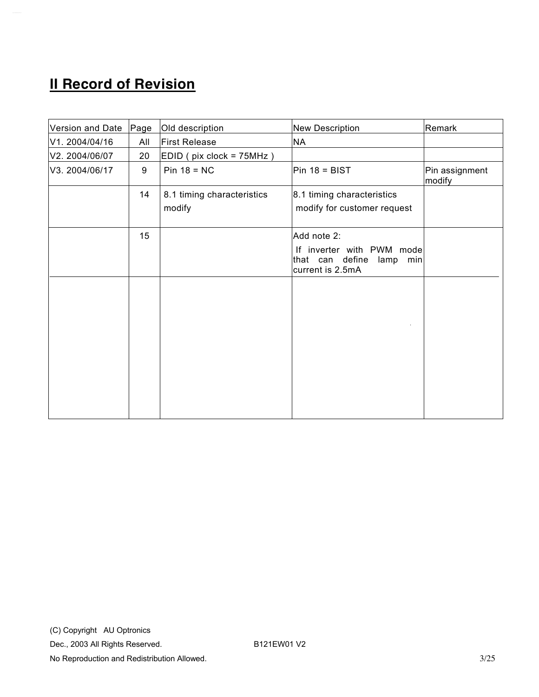# **II Record of Revision**

| Version and Date | Page | Old description                      | New Description                                                                                | Remark                   |
|------------------|------|--------------------------------------|------------------------------------------------------------------------------------------------|--------------------------|
| V1. 2004/04/16   | All  | <b>First Release</b>                 | <b>NA</b>                                                                                      |                          |
| V2. 2004/06/07   | 20   | EDID (pix clock = 75MHz)             |                                                                                                |                          |
| V3. 2004/06/17   | 9    | $Pin 18 = NC$                        | $Pin 18 = BIST$                                                                                | Pin assignment<br>modify |
|                  | 14   | 8.1 timing characteristics<br>modify | 8.1 timing characteristics<br>modify for customer request                                      |                          |
|                  | 15   |                                      | Add note 2:<br>If inverter with PWM mode<br>that can define<br>lamp<br>min<br>current is 2.5mA |                          |
|                  |      |                                      |                                                                                                |                          |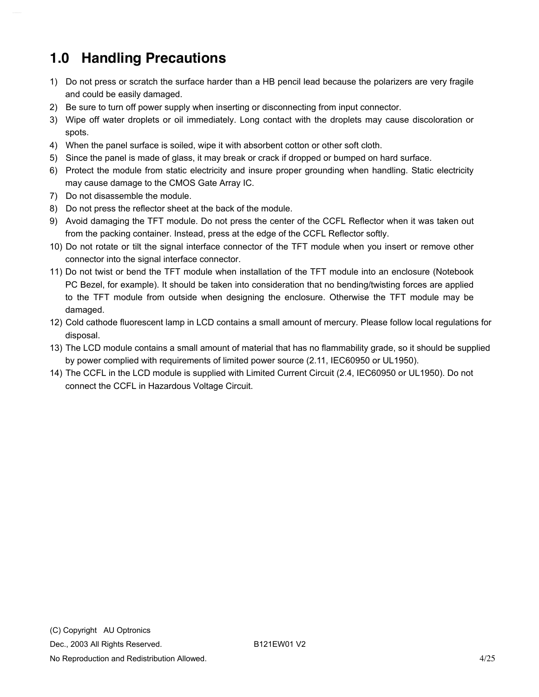# <span id="page-3-0"></span>**1.0 Handling Precautions**

- 1) Do not press or scratch the surface harder than a HB pencil lead because the polarizers are very fragile and could be easily damaged.
- 2) Be sure to turn off power supply when inserting or disconnecting from input connector.
- 3) Wipe off water droplets or oil immediately. Long contact with the droplets may cause discoloration or spots.
- 4) When the panel surface is soiled, wipe it with absorbent cotton or other soft cloth.
- 5) Since the panel is made of glass, it may break or crack if dropped or bumped on hard surface.
- 6) Protect the module from static electricity and insure proper grounding when handling. Static electricity may cause damage to the CMOS Gate Array IC.
- 7) Do not disassemble the module.
- 8) Do not press the reflector sheet at the back of the module.
- 9) Avoid damaging the TFT module. Do not press the center of the CCFL Reflector when it was taken out from the packing container. Instead, press at the edge of the CCFL Reflector softly.
- 10) Do not rotate or tilt the signal interface connector of the TFT module when you insert or remove other connector into the signal interface connector.
- 11) Do not twist or bend the TFT module when installation of the TFT module into an enclosure (Notebook PC Bezel, for example). It should be taken into consideration that no bending/twisting forces are applied to the TFT module from outside when designing the enclosure. Otherwise the TFT module may be damaged.
- 12) Cold cathode fluorescent lamp in LCD contains a small amount of mercury. Please follow local regulations for disposal.
- 13) The LCD module contains a small amount of material that has no flammability grade, so it should be supplied by power complied with requirements of limited power source (2.11, IEC60950 or UL1950).
- 14) The CCFL in the LCD module is supplied with Limited Current Circuit (2.4, IEC60950 or UL1950). Do not connect the CCFL in Hazardous Voltage Circuit.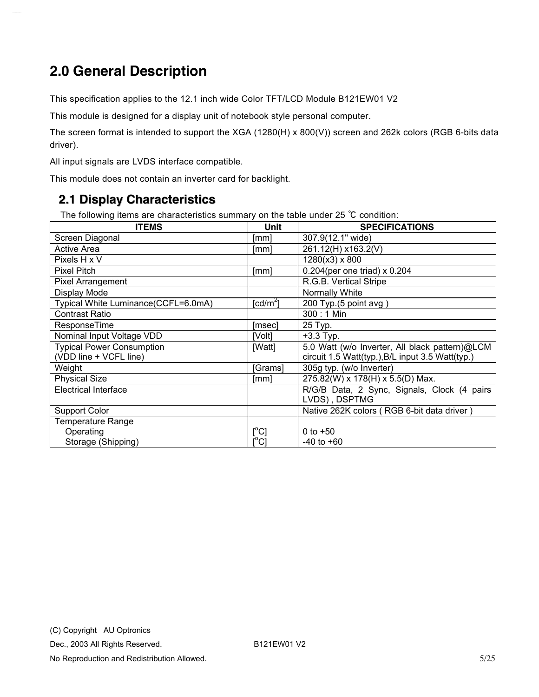# <span id="page-4-0"></span>**2.0 General Description**

This specification applies to the 12.1 inch wide Color TFT/LCD Module B121EW01 V2

This module is designed for a display unit of notebook style personal computer.

The screen format is intended to support the XGA (1280(H) x 800(V)) screen and 262k colors (RGB 6-bits data driver).

All input signals are LVDS interface compatible.

This module does not contain an inverter card for backlight.

#### **2.1 Display Characteristics**

The following items are characteristics summary on the table under 25 ℃ condition:

| <b>ITEMS</b>                        | Unit                                 | <b>SPECIFICATIONS</b>                            |
|-------------------------------------|--------------------------------------|--------------------------------------------------|
| Screen Diagonal                     | [mm]                                 | 307.9(12.1" wide)                                |
| <b>Active Area</b>                  | [mm]                                 | 261.12(H) x163.2(V)                              |
| Pixels H x V                        |                                      | $1280(x3)$ x 800                                 |
| Pixel Pitch                         | [mm]                                 | $0.204$ (per one triad) x 0.204                  |
| <b>Pixel Arrangement</b>            |                                      | R.G.B. Vertical Stripe                           |
| Display Mode                        |                                      | Normally White                                   |
| Typical White Luminance(CCFL=6.0mA) | $\lceil cd/m^2 \rceil$               | 200 Typ.(5 point avg)                            |
| <b>Contrast Ratio</b>               |                                      | $300:1$ Min                                      |
| ResponseTime                        | [msec]                               | 25 Typ.                                          |
| Nominal Input Voltage VDD           | [Volt]                               | $+3.3$ Typ.                                      |
| <b>Typical Power Consumption</b>    | [Watt]                               | 5.0 Watt (w/o Inverter, All black pattern)@LCM   |
| (VDD line + VCFL line)              |                                      | circuit 1.5 Watt(typ.), B/L input 3.5 Watt(typ.) |
| Weight                              | [Grams]                              | 305g typ. (w/o Inverter)                         |
| <b>Physical Size</b>                | [mm]                                 | 275.82(W) x 178(H) x 5.5(D) Max.                 |
| <b>Electrical Interface</b>         |                                      | R/G/B Data, 2 Sync, Signals, Clock (4 pairs      |
|                                     |                                      | LVDS), DSPTMG                                    |
| <b>Support Color</b>                |                                      | Native 262K colors (RGB 6-bit data driver)       |
| <b>Temperature Range</b>            |                                      |                                                  |
| Operating                           | $[ ^{\circ}\text{C} ]$               | 0 to $+50$                                       |
| Storage (Shipping)                  | $\mathop{\rm l{^{\circ}C}}\nolimits$ | $-40$ to $+60$                                   |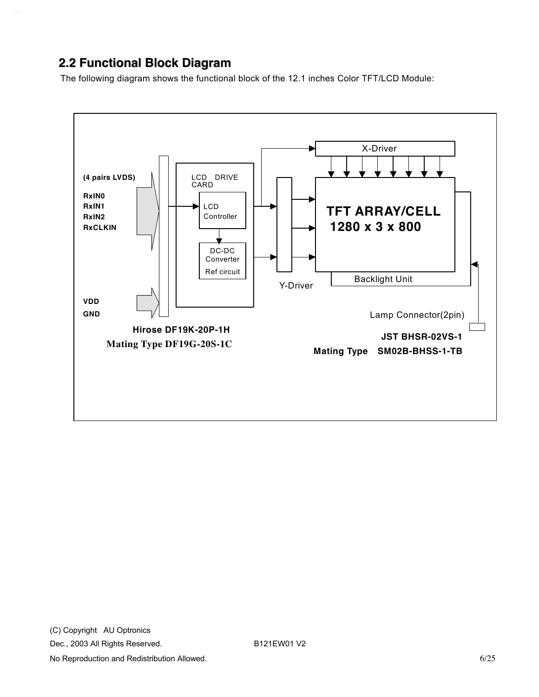#### <span id="page-5-0"></span>**2.2 Functional Block Diagram**

The following diagram shows the functional block of the 12.1 inches Color TFT/LCD Module:

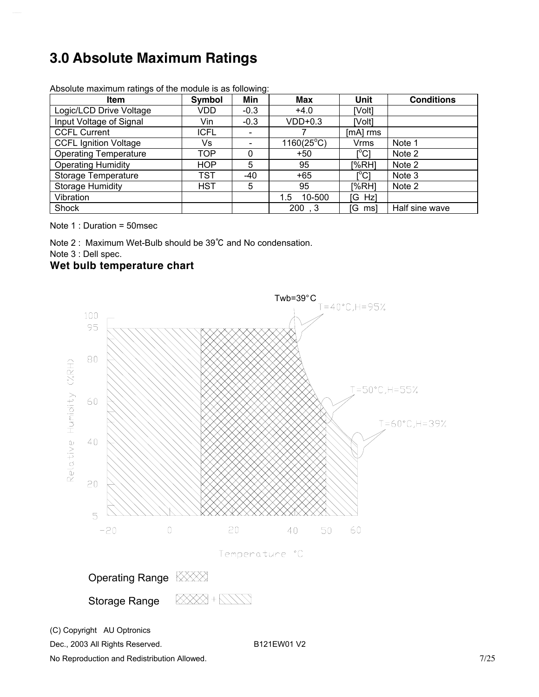# <span id="page-6-0"></span>**3.0 Absolute Maximum Ratings**

| <b>Item</b>                  | Symbol      | Min    | Max                 | Unit                                    | <b>Conditions</b> |
|------------------------------|-------------|--------|---------------------|-----------------------------------------|-------------------|
| Logic/LCD Drive Voltage      | VDD.        | $-0.3$ | $+4.0$              | [Volt]                                  |                   |
| Input Voltage of Signal      | Vin         | $-0.3$ | $VDD+0.3$           | [Volt]                                  |                   |
| <b>CCFL Current</b>          | <b>ICFL</b> |        |                     | [mA] rms                                |                   |
| <b>CCFL Ignition Voltage</b> | Vs.         |        | $1160(25^{\circ}C)$ | <b>Vrms</b>                             | Note 1            |
| <b>Operating Temperature</b> | TOP         | 0      | +50                 | $\mathsf{I}^\circ\mathsf{C} \mathsf{I}$ | Note 2            |
| <b>Operating Humidity</b>    | HOP         | 5      | 95                  | [%RH]                                   | Note 2            |
| <b>Storage Temperature</b>   | TST         | $-40$  | +65                 | [°C]                                    | Note 3            |
| <b>Storage Humidity</b>      | <b>HST</b>  | 5      | 95                  | [%RH]                                   | Note 2            |
| Vibration                    |             |        | 10-500<br>1.5       | [G Hz]                                  |                   |
| Shock                        |             |        | 200, 3              | [G ms]                                  | Half sine wave    |

Absolute maximum ratings of the module is as following:

Note 1 : Duration = 50msec

Note 2 : Maximum Wet-Bulb should be 39℃ and No condensation.

Note 3 : Dell spec.

#### **Wet bulb temperature chart**



(C) Copyright AU Optronics

Dec., 2003 All Rights Reserved. B121EW01 V2

No Reproduction and Redistribution Allowed. The state of the state of the state of the state of the state of the state of the state of the state of the state of the state of the state of the state of the state of the state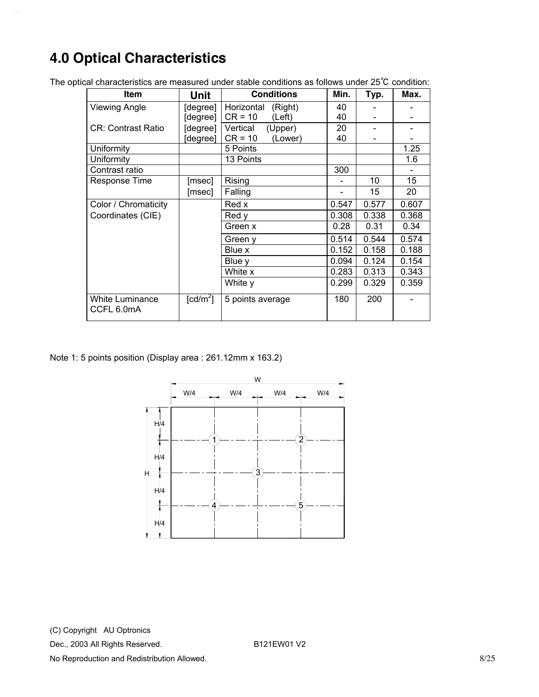# <span id="page-7-0"></span>**4.0 Optical Characteristics**

| Item                          | Unit                   | <b>Conditions</b>     | Min.  | Typ.  | Max.  |
|-------------------------------|------------------------|-----------------------|-------|-------|-------|
| <b>Viewing Angle</b>          | [degree]               | Horizontal<br>(Right) | 40    |       |       |
|                               | [degree]               | $CR = 10$<br>(Left)   | 40    |       |       |
| <b>CR: Contrast Ratio</b>     | [degree]               | Vertical<br>(Upper)   | 20    |       |       |
|                               | [degree]               | $CR = 10$<br>(Lower)  | 40    |       |       |
| Uniformity                    |                        | 5 Points              |       |       | 1.25  |
| Uniformity                    |                        | 13 Points             |       |       | 1.6   |
| Contrast ratio                |                        |                       | 300   |       |       |
| Response Time                 | [msec]                 | Rising                |       | 10    | 15    |
|                               | [msec]                 | Falling               |       | 15    | 20    |
| Color / Chromaticity          |                        | Red x                 | 0.547 | 0.577 | 0.607 |
| Coordinates (CIE)             |                        | Red y                 | 0.308 | 0.338 | 0.368 |
|                               |                        | Green x               | 0.28  | 0.31  | 0.34  |
|                               |                        | Green y               | 0.514 | 0.544 | 0.574 |
|                               |                        | Blue x                | 0.152 | 0.158 | 0.188 |
|                               |                        | Blue y                | 0.094 | 0.124 | 0.154 |
|                               |                        | White x               | 0.283 | 0.313 | 0.343 |
|                               |                        | White y               | 0.299 | 0.329 | 0.359 |
| White Luminance<br>CCFL 6.0mA | $\lceil cd/m^2 \rceil$ | 5 points average      | 180   | 200   |       |

The optical characteristics are measured under stable conditions as follows under 25℃ condition:

Note 1: 5 points position (Display area : 261.12mm x 163.2)

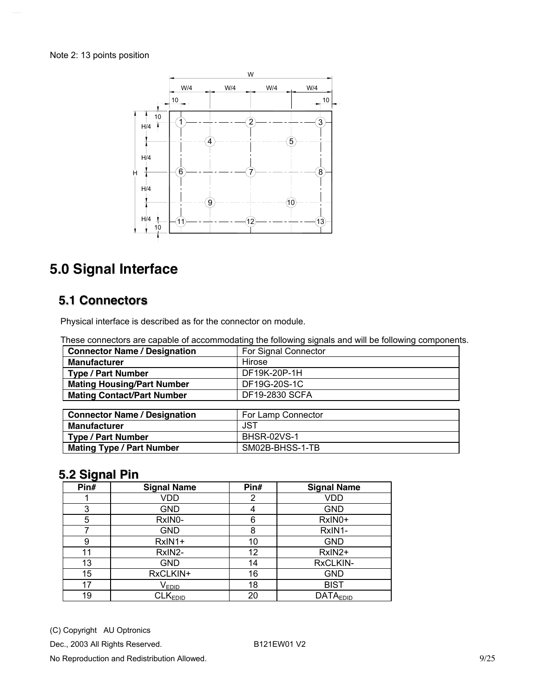<span id="page-8-0"></span>

# **5.0 Signal Interface**

#### **5.1 Connectors**

Physical interface is described as for the connector on module.

These connectors are capable of accommodating the following signals and will be following components.

| <b>Connector Name / Designation</b> | For Signal Connector |
|-------------------------------------|----------------------|
| <b>Manufacturer</b>                 | Hirose               |
| <b>Type / Part Number</b>           | DF19K-20P-1H         |
| <b>Mating Housing/Part Number</b>   | DF19G-20S-1C         |
| <b>Mating Contact/Part Number</b>   | DF19-2830 SCFA       |
|                                     |                      |
| <b>Connector Name / Designation</b> | For Lamp Connector   |
| <b>Manufacturer</b>                 | <b>JST</b>           |
| <b>Type / Part Number</b>           | <b>BHSR-02VS-1</b>   |
| <b>Mating Type / Part Number</b>    | SM02B-BHSS-1-TB      |

#### **5.2 Signal Pin**

| Pin# | <b>Signal Name</b>           | Pin# | <b>Signal Name</b> |
|------|------------------------------|------|--------------------|
|      | VDD                          | 2    | <b>VDD</b>         |
| 3    | GND                          | 4    | <b>GND</b>         |
| 5    | RxIN0-                       | 6    | RxIN0+             |
|      | GND                          | 8    | RxIN1-             |
| 9    | RxIN1+                       | 10   | <b>GND</b>         |
| 11   | RxIN2-                       | 12   | RxIN2+             |
| 13   | GND                          | 14   | RxCLKIN-           |
| 15   | RxCLKIN+                     | 16   | <b>GND</b>         |
| 17   | $\mathsf{V}_{\mathsf{EDID}}$ | 18   | <b>BIST</b>        |
| 19   | CLK <sub>EDID</sub>          | 20   | <b>DATAEDID</b>    |

(C) Copyright AU Optronics

Dec., 2003 All Rights Reserved. B121EW01 V2

No Reproduction and Redistribution Allowed. **9/25** and  $\frac{9}{25}$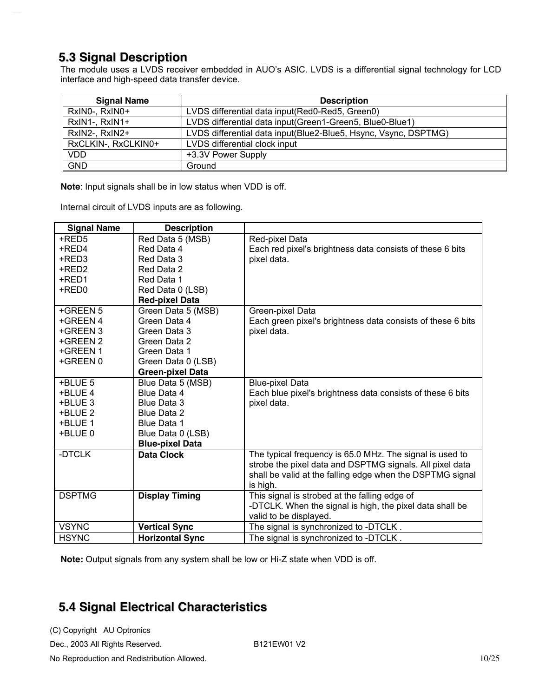#### <span id="page-9-0"></span>**5.3 Signal Description**

The module uses a LVDS receiver embedded in AUO's ASIC. LVDS is a differential signal technology for LCD interface and high-speed data transfer device.

| <b>Signal Name</b>  | <b>Description</b>                                              |
|---------------------|-----------------------------------------------------------------|
| RxIN0-, RxIN0+      | LVDS differential data input (Red0-Red5, Green0)                |
| RxIN1-, RxIN1+      | LVDS differential data input(Green1-Green5, Blue0-Blue1)        |
| RxIN2-, RxIN2+      | LVDS differential data input(Blue2-Blue5, Hsync, Vsync, DSPTMG) |
| RxCLKIN-, RxCLKIN0+ | LVDS differential clock input                                   |
| <b>VDD</b>          | +3.3V Power Supply                                              |
| <b>GND</b>          | Ground                                                          |

**Note**: Input signals shall be in low status when VDD is off.

Internal circuit of LVDS inputs are as following.

| <b>Signal Name</b> | <b>Description</b>      |                                                             |
|--------------------|-------------------------|-------------------------------------------------------------|
| +RED5              | Red Data 5 (MSB)        | Red-pixel Data                                              |
| +RED4              | Red Data 4              | Each red pixel's brightness data consists of these 6 bits   |
| +RED3              | Red Data 3              | pixel data.                                                 |
| +RED2              | Red Data 2              |                                                             |
| +RED1              | Red Data 1              |                                                             |
| +RED0              | Red Data 0 (LSB)        |                                                             |
|                    | <b>Red-pixel Data</b>   |                                                             |
| +GREEN 5           | Green Data 5 (MSB)      | Green-pixel Data                                            |
| +GREEN 4           | Green Data 4            | Each green pixel's brightness data consists of these 6 bits |
| +GREEN 3           | Green Data 3            | pixel data.                                                 |
| +GREEN 2           | Green Data 2            |                                                             |
| +GREEN 1           | Green Data 1            |                                                             |
| +GREEN 0           | Green Data 0 (LSB)      |                                                             |
|                    | <b>Green-pixel Data</b> |                                                             |
| +BLUE 5            | Blue Data 5 (MSB)       | <b>Blue-pixel Data</b>                                      |
| +BLUE 4            | Blue Data 4             | Each blue pixel's brightness data consists of these 6 bits  |
| +BLUE 3            | Blue Data 3             | pixel data.                                                 |
| +BLUE 2            | <b>Blue Data 2</b>      |                                                             |
| +BLUE 1            | <b>Blue Data 1</b>      |                                                             |
| +BLUE 0            | Blue Data 0 (LSB)       |                                                             |
|                    | <b>Blue-pixel Data</b>  |                                                             |
| -DTCLK             | Data Clock              | The typical frequency is 65.0 MHz. The signal is used to    |
|                    |                         | strobe the pixel data and DSPTMG signals. All pixel data    |
|                    |                         | shall be valid at the falling edge when the DSPTMG signal   |
|                    |                         | is high.                                                    |
| <b>DSPTMG</b>      | <b>Display Timing</b>   | This signal is strobed at the falling edge of               |
|                    |                         | -DTCLK. When the signal is high, the pixel data shall be    |
|                    |                         | valid to be displayed.                                      |
| <b>VSYNC</b>       | <b>Vertical Sync</b>    | The signal is synchronized to -DTCLK.                       |
| <b>HSYNC</b>       | <b>Horizontal Sync</b>  | The signal is synchronized to -DTCLK.                       |

**Note:** Output signals from any system shall be low or Hi-Z state when VDD is off.

### **5.4 Signal Electrical Characteristics**

(C) Copyright AU Optronics

Dec., 2003 All Rights Reserved. B121EW01 V2

No Reproduction and Redistribution Allowed. 10/25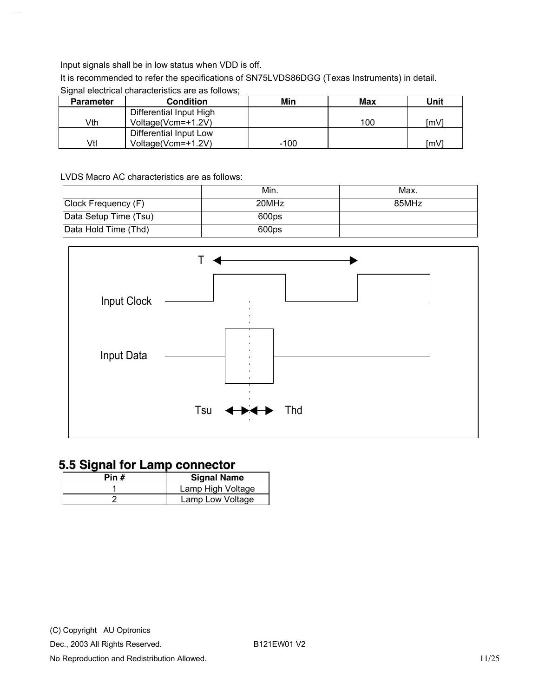<span id="page-10-0"></span>Input signals shall be in low status when VDD is off.

It is recommended to refer the specifications of SN75LVDS86DGG (Texas Instruments) in detail.

| <b>Parameter</b> | <b>Condition</b>        | Min  | <b>Max</b> | Unit |
|------------------|-------------------------|------|------------|------|
|                  | Differential Input High |      |            |      |
| Vth              | Voltage(Vcm=+1.2V)      |      | 100        | [mV] |
|                  | Differential Input Low  |      |            |      |
| Vtl              | Voltage(Vcm=+1.2V)      | -100 |            | [mV] |

#### Signal electrical characteristics are as follows:

LVDS Macro AC characteristics are as follows:

|                       | Min.  | Max.  |
|-----------------------|-------|-------|
| Clock Frequency (F)   | 20MHz | 85MHz |
| Data Setup Time (Tsu) | 600ps |       |
| Data Hold Time (Thd)  | 600ps |       |



#### **5.5 Signal for Lamp connector**

| Pin # | <b>Signal Name</b> |
|-------|--------------------|
|       | Lamp High Voltage  |
|       | Lamp Low Voltage   |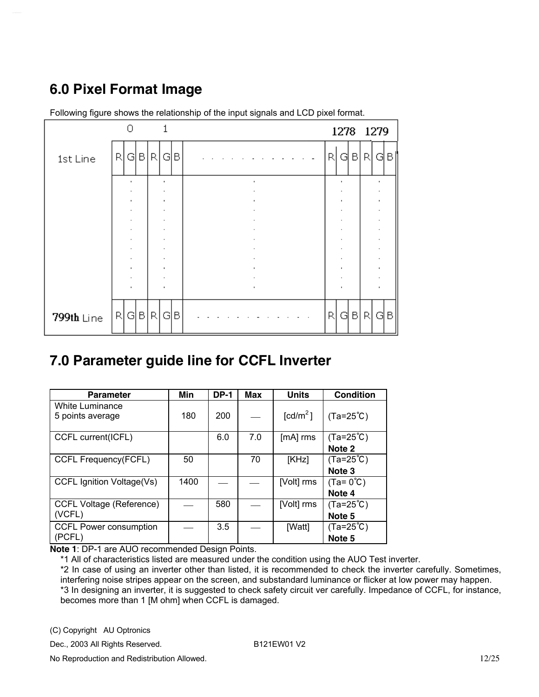## <span id="page-11-0"></span>**6.0 Pixel Format Image**



Following figure shows the relationship of the input signals and LCD pixel format.

### **7.0 Parameter guide line for CCFL Inverter**

| <b>Parameter</b>                | Min  | <b>DP-1</b> | <b>Max</b> | <b>Units</b>         | <b>Condition</b>   |
|---------------------------------|------|-------------|------------|----------------------|--------------------|
| White Luminance                 |      |             |            |                      |                    |
| 5 points average                | 180  | 200         |            | [cd/m <sup>2</sup> ] | $(Ta=25^{\circ}C)$ |
|                                 |      |             |            |                      |                    |
| CCFL current(ICFL)              |      | 6.0         | 7.0        | [mA] rms             | $(Ta=25^{\circ}C)$ |
|                                 |      |             |            |                      | Note <sub>2</sub>  |
| <b>CCFL Frequency(FCFL)</b>     | 50   |             | 70         | [KHz]                | $(Ta=25^{\circ}C)$ |
|                                 |      |             |            |                      | Note <sub>3</sub>  |
| CCFL Ignition Voltage(Vs)       | 1400 |             |            | [Volt] rms           | $(Ta=0^{\circ}C)$  |
|                                 |      |             |            |                      | Note 4             |
| <b>CCFL Voltage (Reference)</b> |      | 580         |            | [Volt] rms           | $(Ta=25^{\circ}C)$ |
| (VCFL)                          |      |             |            |                      | Note <sub>5</sub>  |
| <b>CCFL Power consumption</b>   |      | 3.5         |            | [Watt]               | $(Ta=25^{\circ}C)$ |
| (PCFL)                          |      |             |            |                      | Note <sub>5</sub>  |

**Note 1**: DP-1 are AUO recommended Design Points.

\*1 All of characteristics listed are measured under the condition using the AUO Test inverter.

\*2 In case of using an inverter other than listed, it is recommended to check the inverter carefully. Sometimes, interfering noise stripes appear on the screen, and substandard luminance or flicker at low power may happen. \*3 In designing an inverter, it is suggested to check safety circuit ver carefully. Impedance of CCFL, for instance, becomes more than 1 [M ohm] when CCFL is damaged.

(C) Copyright AU Optronics

Dec., 2003 All Rights Reserved. B121EW01 V2

No Reproduction and Redistribution Allowed. 12/25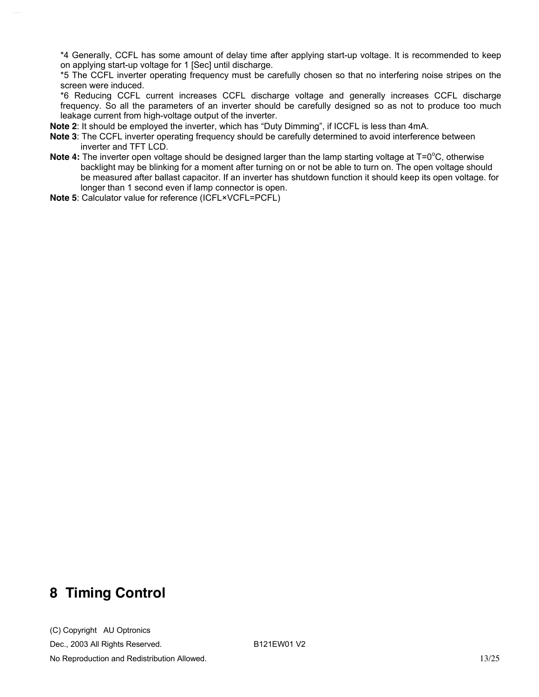\*4 Generally, CCFL has some amount of delay time after applying start-up voltage. It is recommended to keep on applying start-up voltage for 1 [Sec] until discharge.

\*5 The CCFL inverter operating frequency must be carefully chosen so that no interfering noise stripes on the screen were induced.

\*6 Reducing CCFL current increases CCFL discharge voltage and generally increases CCFL discharge frequency. So all the parameters of an inverter should be carefully designed so as not to produce too much leakage current from high-voltage output of the inverter.

**Note 2**: It should be employed the inverter, which has "Duty Dimming", if ICCFL is less than 4mA.

- **Note 3**: The CCFL inverter operating frequency should be carefully determined to avoid interference between inverter and TFT LCD.
- Note 4: The inverter open voltage should be designed larger than the lamp starting voltage at T=0<sup>o</sup>C, otherwise backlight may be blinking for a moment after turning on or not be able to turn on. The open voltage should be measured after ballast capacitor. If an inverter has shutdown function it should keep its open voltage. for longer than 1 second even if lamp connector is open.
- **Note 5**: Calculator value for reference (ICFL×VCFL=PCFL)

### **8 Timing Control**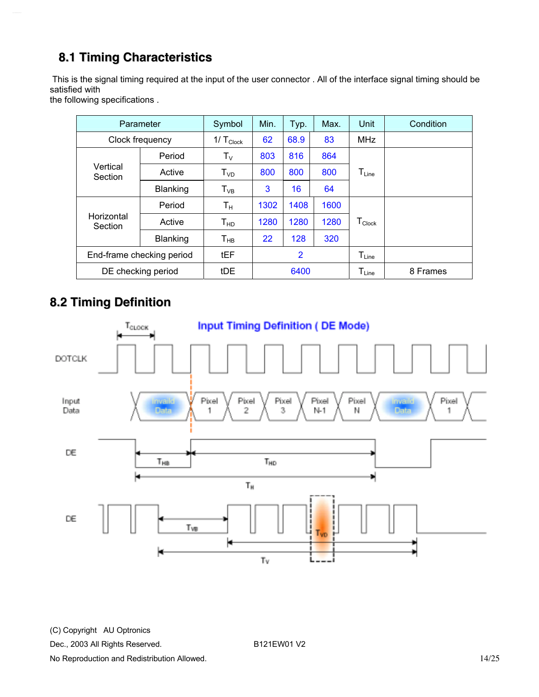### <span id="page-13-0"></span>**8.1 Timing Characteristics**

 This is the signal timing required at the input of the user connector . All of the interface signal timing should be satisfied with

the following specifications .

|                                 | Parameter                        | Symbol                  | Min.           | Typ. | Max.                         | Unit                          | Condition |  |  |  |  |  |  |  |          |
|---------------------------------|----------------------------------|-------------------------|----------------|------|------------------------------|-------------------------------|-----------|--|--|--|--|--|--|--|----------|
|                                 | Clock frequency                  | $1/\top_{\text{Clock}}$ | 62             | 68.9 | 83                           | <b>MHz</b>                    |           |  |  |  |  |  |  |  |          |
|                                 | Period                           | $T_{V}$                 | 803            | 816  | 864                          |                               |           |  |  |  |  |  |  |  |          |
| Vertical<br>Section             | Active                           | T <sub>VD</sub>         | 800            | 800  | 800                          | $\mathsf{T}_{\mathsf{Line}}$  |           |  |  |  |  |  |  |  |          |
| 3<br>16<br>Blanking<br>$T_{VB}$ | 64                               |                         |                |      |                              |                               |           |  |  |  |  |  |  |  |          |
|                                 | Period                           | $T_{\rm H}$             | 1302           | 1408 | 1600                         |                               |           |  |  |  |  |  |  |  |          |
| Horizontal<br>Section           | Active                           | T <sub>HD</sub>         | 1280           | 1280 | 1280                         | $\mathsf{T}_{\mathsf{Clock}}$ |           |  |  |  |  |  |  |  |          |
|                                 | Blanking                         | $T_{HB}$                | 22             | 128  | 320                          |                               |           |  |  |  |  |  |  |  |          |
|                                 | tEF<br>End-frame checking period |                         | $\overline{2}$ |      | $\mathsf{T}_{\mathsf{Line}}$ |                               |           |  |  |  |  |  |  |  |          |
|                                 | DE checking period               | tDE                     | 6400           |      |                              |                               |           |  |  |  |  |  |  |  | 8 Frames |

### **8.2 Timing Definition**



(C) Copyright AU Optronics

Dec., 2003 All Rights Reserved. B121EW01 V2

No Reproduction and Redistribution Allowed. **14/25**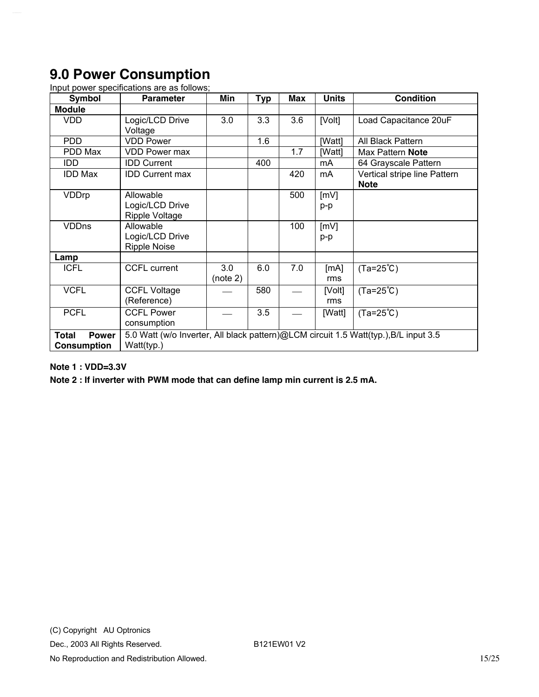## <span id="page-14-0"></span>**9.0 Power Consumption**

| Symbol                                             | <b>Parameter</b>                                                                                   | Min             | <b>Typ</b> | Max | <b>Units</b>  | <b>Condition</b>                            |  |
|----------------------------------------------------|----------------------------------------------------------------------------------------------------|-----------------|------------|-----|---------------|---------------------------------------------|--|
| <b>Module</b>                                      |                                                                                                    |                 |            |     |               |                                             |  |
| <b>VDD</b>                                         | Logic/LCD Drive<br>Voltage                                                                         | 3.0             | 3.3        | 3.6 | [Volt]        | Load Capacitance 20uF                       |  |
| <b>PDD</b>                                         | <b>VDD Power</b>                                                                                   |                 | 1.6        |     | [Watt]        | All Black Pattern                           |  |
| PDD Max                                            | <b>VDD Power max</b>                                                                               |                 |            | 1.7 | [Watt]        | Max Pattern Note                            |  |
| IDD.                                               | <b>IDD Current</b>                                                                                 |                 | 400        |     | mA            | 64 Grayscale Pattern                        |  |
| <b>IDD Max</b>                                     | <b>IDD Current max</b>                                                                             |                 |            | 420 | mA            | Vertical stripe line Pattern<br><b>Note</b> |  |
| VDDrp                                              | Allowable<br>Logic/LCD Drive<br>Ripple Voltage                                                     |                 |            | 500 | [mV]<br>p-p   |                                             |  |
| <b>VDDns</b>                                       | Allowable<br>Logic/LCD Drive<br><b>Ripple Noise</b>                                                |                 |            | 100 | [mV]<br>p-p   |                                             |  |
| Lamp                                               |                                                                                                    |                 |            |     |               |                                             |  |
| <b>ICFL</b>                                        | <b>CCFL current</b>                                                                                | 3.0<br>(note 2) | 6.0        | 7.0 | [mA]<br>rms   | $(Ta=25^{\circ}C)$                          |  |
| <b>VCFL</b>                                        | <b>CCFL Voltage</b><br>(Reference)                                                                 |                 | 580        |     | [Volt]<br>rms | $(Ta=25^{\circ}C)$                          |  |
| <b>PCFL</b>                                        | <b>CCFL Power</b><br>consumption                                                                   |                 | 3.5        |     | [Watt]        | $(Ta=25^{\circ}C)$                          |  |
| <b>Power</b><br><b>Total</b><br><b>Consumption</b> | 5.0 Watt (w/o Inverter, All black pattern)@LCM circuit 1.5 Watt(typ.), B/L input 3.5<br>Watt(typ.) |                 |            |     |               |                                             |  |

Input power specifications are as follows;

#### **Note 1 : VDD=3.3V**

**Note 2 : If inverter with PWM mode that can define lamp min current is 2.5 mA.**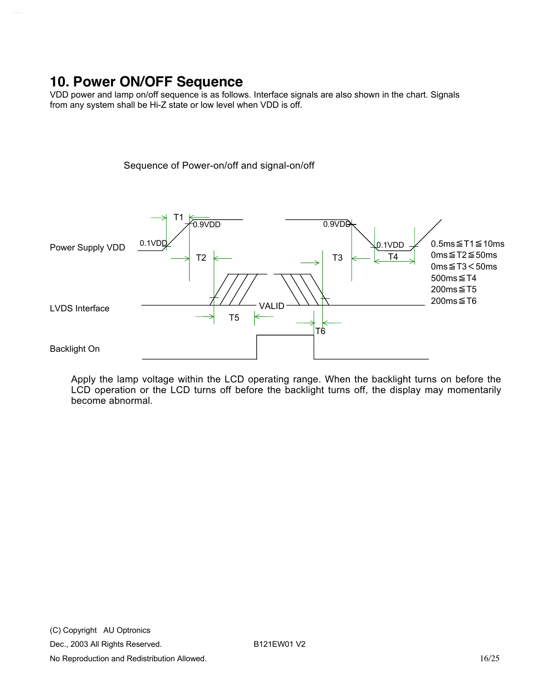### <span id="page-15-0"></span>**10. Power ON/OFF Sequence**

VDD power and lamp on/off sequence is as follows. Interface signals are also shown in the chart. Signals from any system shall be Hi-Z state or low level when VDD is off.

Sequence of Power-on/off and signal-on/off



Apply the lamp voltage within the LCD operating range. When the backlight turns on before the LCD operation or the LCD turns off before the backlight turns off, the display may momentarily become abnormal.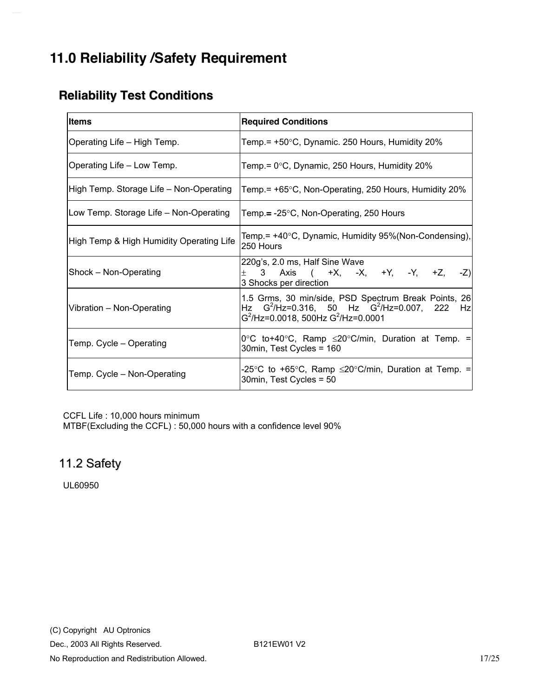## <span id="page-16-0"></span>**11.0 Reliability /Safety Requirement**

### **Reliability Test Conditions**

| <b>Items</b>                             | <b>Required Conditions</b>                                                                                                                            |  |  |  |  |  |
|------------------------------------------|-------------------------------------------------------------------------------------------------------------------------------------------------------|--|--|--|--|--|
| Operating Life - High Temp.              | Temp.= $+50^{\circ}$ C, Dynamic. 250 Hours, Humidity 20%                                                                                              |  |  |  |  |  |
| Operating Life - Low Temp.               | Temp.= 0°C, Dynamic, 250 Hours, Humidity 20%                                                                                                          |  |  |  |  |  |
| High Temp. Storage Life - Non-Operating  | Temp.= +65°C, Non-Operating, 250 Hours, Humidity 20%                                                                                                  |  |  |  |  |  |
| Low Temp. Storage Life – Non-Operating   | Temp.= -25°C, Non-Operating, 250 Hours                                                                                                                |  |  |  |  |  |
| High Temp & High Humidity Operating Life | Temp.= +40°C, Dynamic, Humidity 95%(Non-Condensing),<br>250 Hours                                                                                     |  |  |  |  |  |
| Shock - Non-Operating                    | 220g's, 2.0 ms, Half Sine Wave<br>3 Axis ( +X, -X, +Y, -Y, +Z, -Z)<br>3 Shocks per direction                                                          |  |  |  |  |  |
| Vibration - Non-Operating                | 1.5 Grms, 30 min/side, PSD Spectrum Break Points, 26<br>Hz $G^2$ /Hz=0.316, 50 Hz $G^2$ /Hz=0.007, 222 Hz<br>$G^2$ /Hz=0.0018, 500Hz $G^2$ /Hz=0.0001 |  |  |  |  |  |
| Temp. Cycle - Operating                  | 0°C to+40°C, Ramp $\leq$ 20°C/min, Duration at Temp. =<br>30min, Test Cycles = 160                                                                    |  |  |  |  |  |
| Temp. Cycle - Non-Operating              | -25°C to +65°C, Ramp ≤20°C/min, Duration at Temp. =<br>30min, Test Cycles = 50                                                                        |  |  |  |  |  |

CCFL Life : 10,000 hours minimum

MTBF(Excluding the CCFL) : 50,000 hours with a confidence level 90%

#### 11.2 Safety

UL60950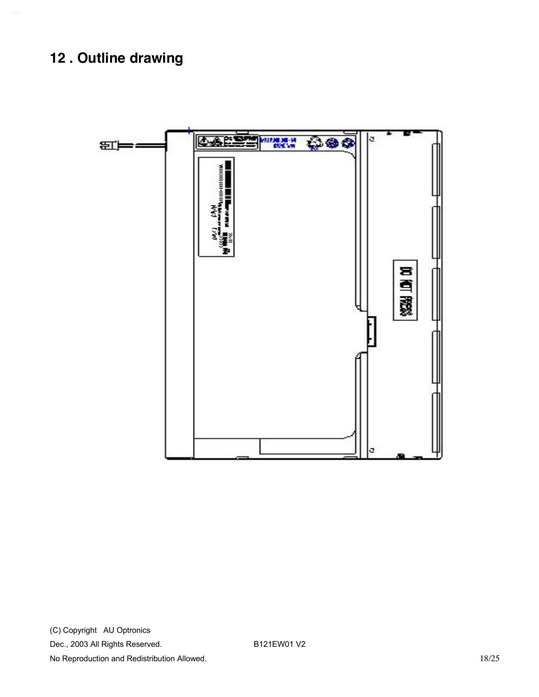# **12 . Outline drawing**

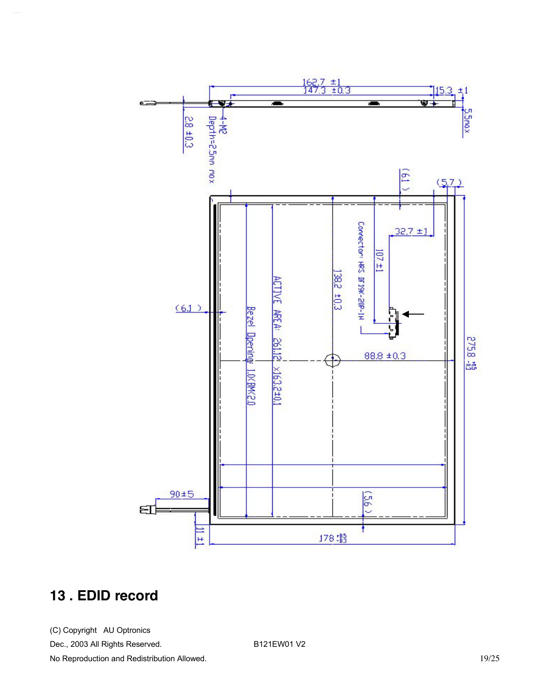

### **13 . EDID record**

(C) Copyright AU Optronics Dec., 2003 All Rights Reserved. B121EW01 V2 No Reproduction and Redistribution Allowed. **19/25**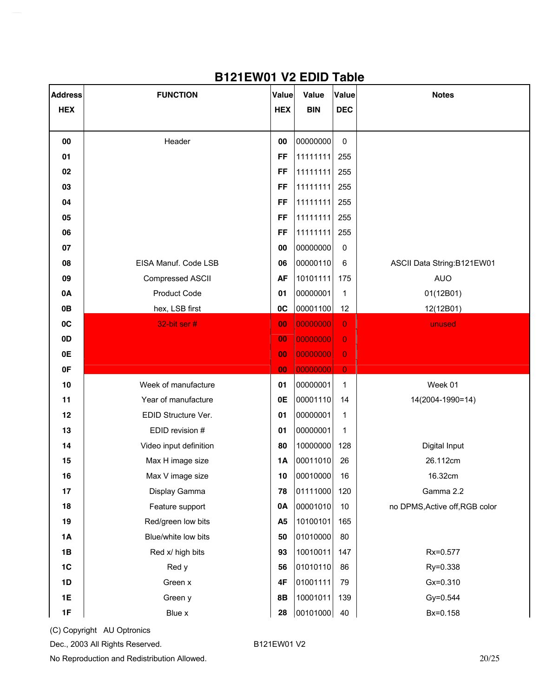| <b>Address</b> | <b>FUNCTION</b>        | Value          | <b>Value</b> | Value          | <b>Notes</b>                   |
|----------------|------------------------|----------------|--------------|----------------|--------------------------------|
| <b>HEX</b>     |                        | <b>HEX</b>     | <b>BIN</b>   | <b>DEC</b>     |                                |
|                |                        |                |              |                |                                |
| 00             | Header                 | 00             | 00000000     | $\pmb{0}$      |                                |
| 01             |                        | <b>FF</b>      | 11111111     | 255            |                                |
| 02             |                        | <b>FF</b>      | 11111111     | 255            |                                |
| 03             |                        | <b>FF</b>      | 11111111     | 255            |                                |
| 04             |                        | <b>FF</b>      | 11111111     | 255            |                                |
| 05             |                        | <b>FF</b>      | 11111111     | 255            |                                |
| 06             |                        | <b>FF</b>      | 11111111     | 255            |                                |
| 07             |                        | 00             | 00000000     | $\pmb{0}$      |                                |
| 08             | EISA Manuf. Code LSB   | 06             | 00000110     | $\,6\,$        | ASCII Data String:B121EW01     |
| 09             | Compressed ASCII       | <b>AF</b>      | 10101111     | 175            | <b>AUO</b>                     |
| 0A             | <b>Product Code</b>    | 01             | 00000001     | $\mathbf{1}$   | 01(12B01)                      |
| 0B             | hex, LSB first         | 0C             | 00001100     | 12             | 12(12B01)                      |
| 0C             | 32-bit ser #           | 00             | 00000000     | $\overline{0}$ | unused                         |
| 0D             |                        | 00             | 00000000     | $\mathbf 0$    |                                |
| 0E             |                        | 00             | 00000000     | $\mathbf 0$    |                                |
| 0F             |                        | 00             | 00000000     | $\mathbf 0$    |                                |
| $10$           | Week of manufacture    | 01             | 00000001     | $\mathbf 1$    | Week 01                        |
| 11             | Year of manufacture    | 0E             | 00001110     | 14             | 14(2004-1990=14)               |
| 12             | EDID Structure Ver.    | 01             | 00000001     | $\mathbf{1}$   |                                |
| 13             | EDID revision #        | 01             | 00000001     | 1              |                                |
| 14             | Video input definition | 80             | 10000000     | 128            | Digital Input                  |
| 15             | Max H image size       | 1A             | 00011010     | 26             | 26.112cm                       |
| 16             | Max V image size       | 10             | 00010000     | 16             | 16.32cm                        |
| 17             | Display Gamma          | 78             | 01111000     | 120            | Gamma 2.2                      |
| 18             | Feature support        | 0A             | 00001010     | 10             | no DPMS, Active off, RGB color |
| 19             | Red/green low bits     | A <sub>5</sub> | 10100101     | 165            |                                |
| 1A             | Blue/white low bits    | 50             | 01010000     | 80             |                                |
| 1B             | Red x/ high bits       | 93             | 10010011     | 147            | Rx=0.577                       |
| 1C             | Red y                  | 56             | 01010110     | 86             | Ry=0.338                       |
| 1D             | Green x                | 4F             | 01001111     | 79             | Gx=0.310                       |
| 1E             | Green y                | 8B             | 10001011     | 139            | Gy=0.544                       |
| 1F             | Blue x                 | 28             | 00101000     | 40             | Bx=0.158                       |

#### **B121EW01 V2 EDID Table**

(C) Copyright AU Optronics

Dec., 2003 All Rights Reserved. B121EW01 V2

No Reproduction and Redistribution Allowed. 20/25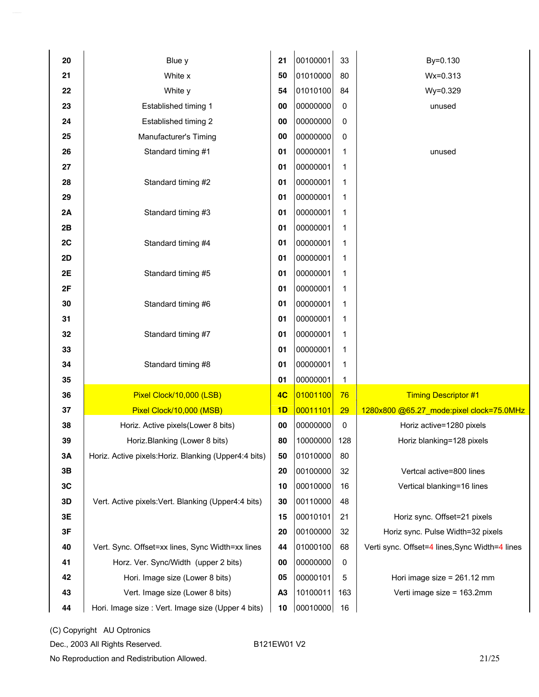| 20 | Blue y                                                | 21             | 00100001 | 33  | By=0.130                                       |
|----|-------------------------------------------------------|----------------|----------|-----|------------------------------------------------|
| 21 | White x                                               | 50             | 01010000 | 80  | Wx=0.313                                       |
| 22 | White y                                               | 54             | 01010100 | 84  | Wy=0.329                                       |
| 23 | Established timing 1                                  | 00             | 00000000 | 0   | unused                                         |
| 24 | Established timing 2                                  | 00             | 00000000 | 0   |                                                |
| 25 | Manufacturer's Timing                                 | 00             | 00000000 | 0   |                                                |
| 26 | Standard timing #1                                    | 01             | 00000001 | 1   | unused                                         |
| 27 |                                                       | 01             | 00000001 | 1   |                                                |
| 28 | Standard timing #2                                    | 01             | 00000001 | 1   |                                                |
| 29 |                                                       | 01             | 00000001 | 1   |                                                |
| 2A | Standard timing #3                                    | 01             | 00000001 | 1   |                                                |
| 2B |                                                       | 01             | 00000001 | 1   |                                                |
| 2C | Standard timing #4                                    | 01             | 00000001 | 1   |                                                |
| 2D |                                                       | 01             | 00000001 | 1   |                                                |
| 2E | Standard timing #5                                    | 01             | 00000001 | 1   |                                                |
| 2F |                                                       | 01             | 00000001 | 1   |                                                |
| 30 | Standard timing #6                                    | 01             | 00000001 | 1   |                                                |
| 31 |                                                       | 01             | 00000001 | 1   |                                                |
| 32 | Standard timing #7                                    | 01             | 00000001 | 1   |                                                |
| 33 |                                                       | 01             | 00000001 | 1   |                                                |
| 34 | Standard timing #8                                    | 01             | 00000001 | 1   |                                                |
| 35 |                                                       | 01             | 00000001 | 1   |                                                |
| 36 | Pixel Clock/10,000 (LSB)                              | 4C             | 01001100 | 76  | <b>Timing Descriptor #1</b>                    |
| 37 | Pixel Clock/10,000 (MSB)                              | 1D             | 00011101 | 29  | 1280x800 @65.27_mode:pixel clock=75.0MHz       |
| 38 | Horiz. Active pixels(Lower 8 bits)                    | 00             | 00000000 | 0   | Horiz active=1280 pixels                       |
| 39 | Horiz.Blanking (Lower 8 bits)                         | 80             | 10000000 | 128 | Horiz blanking=128 pixels                      |
| 3A | Horiz. Active pixels: Horiz. Blanking (Upper4:4 bits) | 50             | 01010000 | 80  |                                                |
| 3B |                                                       | 20             | 00100000 | 32  | Vertcal active=800 lines                       |
| 3C |                                                       | 10             | 00010000 | 16  | Vertical blanking=16 lines                     |
| 3D | Vert. Active pixels: Vert. Blanking (Upper4:4 bits)   | 30             | 00110000 | 48  |                                                |
| 3E |                                                       | 15             | 00010101 | 21  | Horiz sync. Offset=21 pixels                   |
| 3F |                                                       | 20             | 00100000 | 32  | Horiz sync. Pulse Width=32 pixels              |
| 40 | Vert. Sync. Offset=xx lines, Sync Width=xx lines      | 44             | 01000100 | 68  | Verti sync. Offset=4 lines, Sync Width=4 lines |
| 41 | Horz. Ver. Sync/Width (upper 2 bits)                  | 00             | 00000000 | 0   |                                                |
| 42 | Hori. Image size (Lower 8 bits)                       | 05             | 00000101 | 5   | Hori image size = 261.12 mm                    |
| 43 | Vert. Image size (Lower 8 bits)                       | A <sub>3</sub> | 10100011 | 163 | Verti image size = 163.2mm                     |
| 44 | Hori. Image size : Vert. Image size (Upper 4 bits)    | 10             | 00010000 | 16  |                                                |

(C) Copyright AU Optronics

Dec., 2003 All Rights Reserved. B121EW01 V2

No Reproduction and Redistribution Allowed. 21/25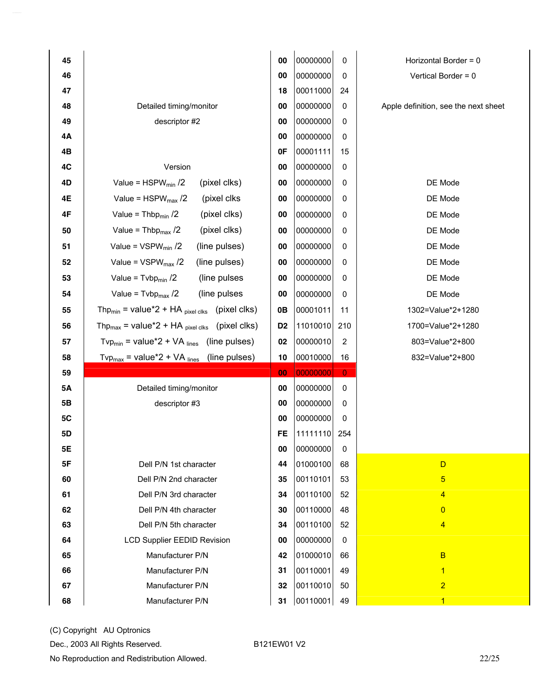| 45        |                                                                                   | 00             | 00000000 | 0              | Horizontal Border = 0                |
|-----------|-----------------------------------------------------------------------------------|----------------|----------|----------------|--------------------------------------|
| 46        |                                                                                   | 00             | 00000000 | 0              | Vertical Border = 0                  |
| 47        |                                                                                   | 18             | 00011000 | 24             |                                      |
| 48        | Detailed timing/monitor                                                           | 00             | 00000000 | 0              | Apple definition, see the next sheet |
| 49        | descriptor #2                                                                     | 00             | 00000000 | 0              |                                      |
| 4Α        |                                                                                   | 00             | 00000000 | 0              |                                      |
| 4Β        |                                                                                   | 0F             | 00001111 | 15             |                                      |
| 4C        | Version                                                                           | 00             | 00000000 | 0              |                                      |
| 4D        | Value = $HSPW_{min}$ /2<br>(pixel clks)                                           | 00             | 00000000 | 0              | DE Mode                              |
| 4E        | Value = $HSPW_{max}$ /2<br>(pixel clks)                                           | 00             | 00000000 | 0              | DE Mode                              |
| 4F        | Value = Thbp $_{min}$ /2<br>(pixel clks)                                          | 00             | 00000000 | 0              | DE Mode                              |
| 50        | (pixel clks)<br>Value = $Thbpmax$ /2                                              | 00             | 00000000 | 0              | DE Mode                              |
| 51        | Value = $VSPW_{min}$ /2<br>(line pulses)                                          | 00             | 00000000 | 0              | DE Mode                              |
| 52        | (line pulses)<br>Value = $VSPW_{max}$ /2                                          | 00             | 00000000 | 0              | DE Mode                              |
| 53        | Value = $Tvbp_{min}$ /2<br>(line pulses)                                          | 00             | 00000000 | 0              | DE Mode                              |
| 54        | Value = $Tvbp_{max}$ /2<br>(line pulses)                                          | 00             | 00000000 | 0              | DE Mode                              |
| 55        | Thp <sub>min</sub> = value <sup>*</sup> 2 + HA $_{pixel \, clks}$ (pixel clks)    | 0B             | 00001011 | 11             | 1302=Value*2+1280                    |
| 56        | Thp <sub>max</sub> = value <sup>*</sup> 2 + HA $_{pixel \, clks}$ (pixel clks)    | D <sub>2</sub> | 11010010 | 210            | 1700=Value*2+1280                    |
| 57        | (line pulses)<br>Tvp <sub>min</sub> = value <sup>*</sup> 2 + VA $_{\text{lines}}$ | 02             | 00000010 | 2              | 803=Value*2+800                      |
| 58        | $Tv p_{max}$ = value*2 + VA $_{lines}$ (line pulses)                              | 10             | 00010000 | 16             | 832=Value*2+800                      |
| 59        |                                                                                   | 00             | 00000000 | $\overline{0}$ |                                      |
| <b>5A</b> | Detailed timing/monitor                                                           | 00             | 00000000 | 0              |                                      |
| 5B        | descriptor #3                                                                     | 00             | 00000000 | 0              |                                      |
| 5C        |                                                                                   | 00             | 00000000 | 0              |                                      |
| 5D        |                                                                                   | <b>FE</b>      | 11111110 | 254            |                                      |
| <b>5E</b> |                                                                                   | 00             | 00000000 | 0              |                                      |
| 5F        | Dell P/N 1st character                                                            | 44             | 01000100 | 68             | $\mathsf{D}$                         |
| 60        | Dell P/N 2nd character                                                            | 35             | 00110101 | 53             | $\overline{5}$                       |
| 61        | Dell P/N 3rd character                                                            | 34             | 00110100 | 52             | $\overline{4}$                       |
| 62        | Dell P/N 4th character                                                            | 30             | 00110000 | 48             | $\overline{0}$                       |
| 63        | Dell P/N 5th character                                                            | 34             | 00110100 | 52             | $\overline{\mathbf{4}}$              |
| 64        | <b>LCD Supplier EEDID Revision</b>                                                | 00             | 00000000 | $\pmb{0}$      |                                      |
| 65        | Manufacturer P/N                                                                  | 42             | 01000010 | 66             | $\overline{B}$                       |
| 66        | Manufacturer P/N                                                                  | 31             | 00110001 | 49             | $\mathbf{1}$                         |
| 67        | Manufacturer P/N                                                                  | 32             | 00110010 | 50             | $\overline{2}$                       |
| 68        | Manufacturer P/N                                                                  | 31             | 00110001 | 49             | $\mathbf{1}$                         |

Dec., 2003 All Rights Reserved. B121EW01 V2

No Reproduction and Redistribution Allowed. 22/25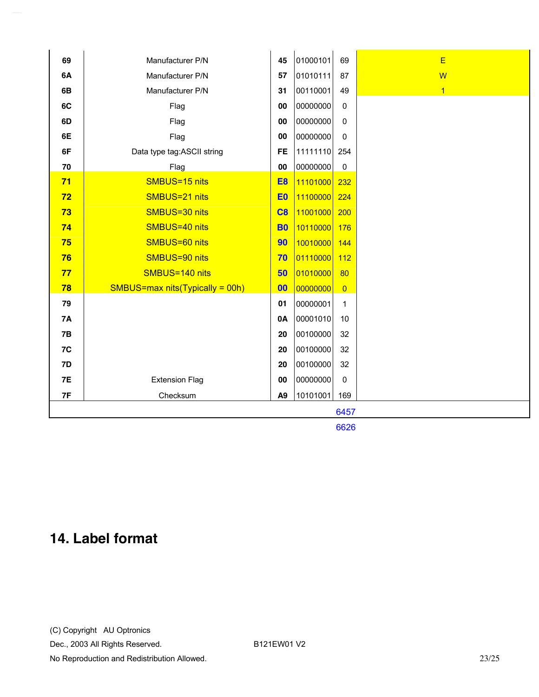| 69        | Manufacturer P/N                    | 45             | 01000101 | 69             | E              |  |  |
|-----------|-------------------------------------|----------------|----------|----------------|----------------|--|--|
| 6A        | Manufacturer P/N                    | 57             | 01010111 | 87             | $\overline{W}$ |  |  |
| 6B        | Manufacturer P/N                    | 31             | 00110001 | 49             | $\overline{1}$ |  |  |
| 6C        | Flag                                | 00             | 00000000 | $\mathbf 0$    |                |  |  |
| 6D        | Flag                                | 00             | 00000000 | $\mathbf 0$    |                |  |  |
| 6E        | Flag                                | 00             | 00000000 | 0              |                |  |  |
| 6F        | Data type tag:ASCII string          | <b>FE</b>      | 11111110 | 254            |                |  |  |
| 70        | Flag                                | 00             | 00000000 | $\mathbf 0$    |                |  |  |
| 71        | SMBUS=15 nits                       | E <sub>8</sub> | 11101000 | 232            |                |  |  |
| 72        | SMBUS=21 nits                       | E <sub>0</sub> | 11100000 | 224            |                |  |  |
| 73        | SMBUS=30 nits                       | C8             | 11001000 | 200            |                |  |  |
| 74        | SMBUS=40 nits                       | <b>B0</b>      | 10110000 | 176            |                |  |  |
| 75        | SMBUS=60 nits                       | 90             |          |                |                |  |  |
|           | SMBUS=90 nits                       |                | 10010000 | 144            |                |  |  |
| 76        | SMBUS=140 nits                      | 70             | 01110000 | 112            |                |  |  |
| 77        |                                     | 50             | 01010000 | 80             |                |  |  |
| 78        | $SMBUS = max nits(Typically = 00h)$ | 00             | 00000000 | $\overline{0}$ |                |  |  |
| 79        |                                     | 01             | 00000001 | $\mathbf{1}$   |                |  |  |
| <b>7A</b> |                                     | 0A             | 00001010 | 10             |                |  |  |
| <b>7B</b> |                                     | 20             | 00100000 | 32             |                |  |  |
| 7C        |                                     | 20             | 00100000 | 32             |                |  |  |
| 7D        |                                     | 20             | 00100000 | 32             |                |  |  |
| 7E        | <b>Extension Flag</b>               | 00             | 00000000 | $\mathbf 0$    |                |  |  |
| 7F        | Checksum                            | A9             | 10101001 | 169            |                |  |  |
| 6457      |                                     |                |          |                |                |  |  |

6626

# **14. Label format**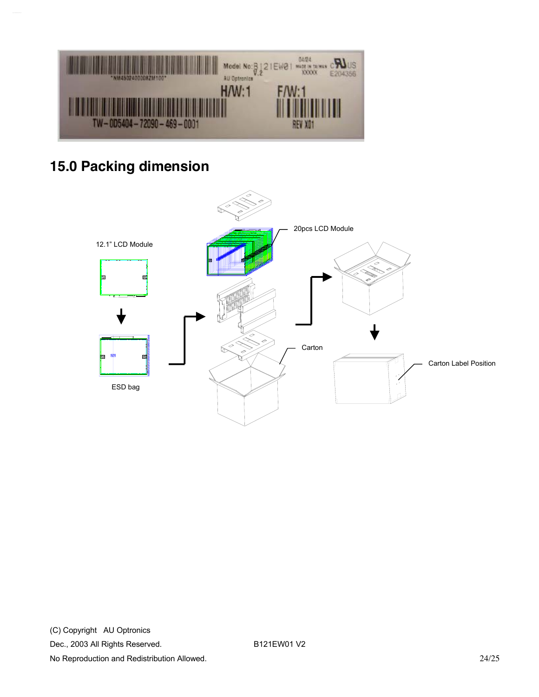

# **15.0 Packing dimension**